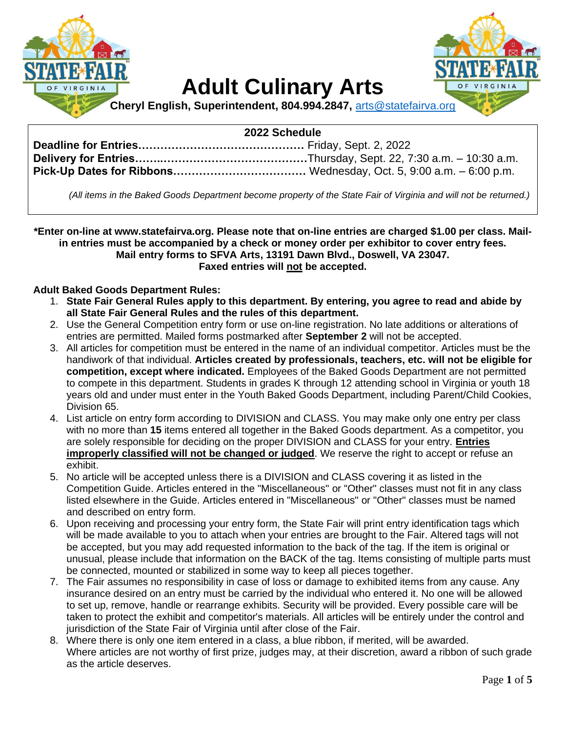

# **Adult Culinary Arts**



**Cheryl English, Superintendent, 804.994.2847,** [arts@statefairva.org](mailto:arts@statefairva.org)

### **2022 Schedule**

*(All items in the Baked Goods Department become property of the State Fair of Virginia and will not be returned.)*

**\*Enter on-line at www.statefairva.org. Please note that on-line entries are charged \$1.00 per class. Mailin entries must be accompanied by a check or money order per exhibitor to cover entry fees. Mail entry forms to SFVA Arts, 13191 Dawn Blvd., Doswell, VA 23047. Faxed entries will not be accepted.**

### **Adult Baked Goods Department Rules:**

- 1. **State Fair General Rules apply to this department. By entering, you agree to read and abide by all State Fair General Rules and the rules of this department.**
- 2. Use the General Competition entry form or use on-line registration. No late additions or alterations of entries are permitted. Mailed forms postmarked after **September 2** will not be accepted.
- 3. All articles for competition must be entered in the name of an individual competitor. Articles must be the handiwork of that individual. **Articles created by professionals, teachers, etc. will not be eligible for competition, except where indicated.** Employees of the Baked Goods Department are not permitted to compete in this department. Students in grades K through 12 attending school in Virginia or youth 18 years old and under must enter in the Youth Baked Goods Department, including Parent/Child Cookies, Division 65.
- 4. List article on entry form according to DIVISION and CLASS. You may make only one entry per class with no more than **15** items entered all together in the Baked Goods department. As a competitor, you are solely responsible for deciding on the proper DIVISION and CLASS for your entry. **Entries improperly classified will not be changed or judged**. We reserve the right to accept or refuse an exhibit.
- 5. No article will be accepted unless there is a DIVISION and CLASS covering it as listed in the Competition Guide. Articles entered in the "Miscellaneous" or "Other" classes must not fit in any class listed elsewhere in the Guide. Articles entered in "Miscellaneous" or "Other" classes must be named and described on entry form.
- 6. Upon receiving and processing your entry form, the State Fair will print entry identification tags which will be made available to you to attach when your entries are brought to the Fair. Altered tags will not be accepted, but you may add requested information to the back of the tag. If the item is original or unusual, please include that information on the BACK of the tag. Items consisting of multiple parts must be connected, mounted or stabilized in some way to keep all pieces together.
- 7. The Fair assumes no responsibility in case of loss or damage to exhibited items from any cause. Any insurance desired on an entry must be carried by the individual who entered it. No one will be allowed to set up, remove, handle or rearrange exhibits. Security will be provided. Every possible care will be taken to protect the exhibit and competitor's materials. All articles will be entirely under the control and jurisdiction of the State Fair of Virginia until after close of the Fair.
- 8. Where there is only one item entered in a class, a blue ribbon, if merited, will be awarded. Where articles are not worthy of first prize, judges may, at their discretion, award a ribbon of such grade as the article deserves.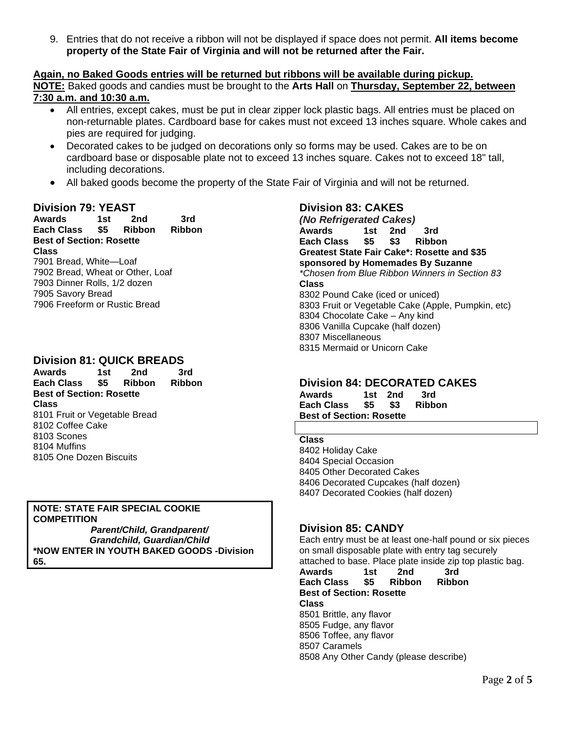9. Entries that do not receive a ribbon will not be displayed if space does not permit. **All items become property of the State Fair of Virginia and will not be returned after the Fair.**

#### **Again, no Baked Goods entries will be returned but ribbons will be available during pickup. NOTE:** Baked goods and candies must be brought to the **Arts Hall** on **Thursday, September 22, between 7:30 a.m. and 10:30 a.m.**

- All entries, except cakes, must be put in clear zipper lock plastic bags. All entries must be placed on non-returnable plates. Cardboard base for cakes must not exceed 13 inches square. Whole cakes and pies are required for judging.
- Decorated cakes to be judged on decorations only so forms may be used. Cakes are to be on cardboard base or disposable plate not to exceed 13 inches square. Cakes not to exceed 18" tall, including decorations.
- All baked goods become the property of the State Fair of Virginia and will not be returned.

### **Division 79: YEAST**

**Awards 1st 2nd 3rd Each Class \$5 Ribbon Ribbon Best of Section: Rosette Class**  7901 Bread, White—Loaf 7902 Bread, Wheat or Other, Loaf 7903 Dinner Rolls, 1/2 dozen 7905 Savory Bread

7906 Freeform or Rustic Bread

### **Division 81: QUICK BREADS**

**Awards 1st 2nd 3rd Each Class \$5 Ribbon Ribbon Best of Section: Rosette Class**  8101 Fruit or Vegetable Bread 8102 Coffee Cake 8103 Scones 8104 Muffins 8105 One Dozen Biscuits

**NOTE: STATE FAIR SPECIAL COOKIE COMPETITION** *Parent/Child, Grandparent/ Grandchild, Guardian/Child* **\*NOW ENTER IN YOUTH BAKED GOODS -Division 65.**

### **Division 83: CAKES**

*(No Refrigerated Cakes)* **Awards 1st 2nd 3rd Each Class \$5 \$3 Ribbon Greatest State Fair Cake\*: Rosette and \$35 sponsored by Homemades By Suzanne** *\*Chosen from Blue Ribbon Winners in Section 83* **Class** 8302 Pound Cake (iced or uniced) 8303 Fruit or Vegetable Cake (Apple, Pumpkin, etc) 8304 Chocolate Cake – Any kind 8306 Vanilla Cupcake (half dozen) 8307 Miscellaneous 8315 Mermaid or Unicorn Cake

### **Division 84: DECORATED CAKES**

**Awards 1st 2nd 3rd Each Class \$5 \$3 Ribbon Best of Section: Rosette**

#### **Class**

8402 Holiday Cake 8404 Special Occasion 8405 Other Decorated Cakes 8406 Decorated Cupcakes (half dozen) 8407 Decorated Cookies (half dozen)

### **Division 85: CANDY**

Each entry must be at least one-half pound or six pieces on small disposable plate with entry tag securely attached to base. Place plate inside zip top plastic bag. **Awards 1st 2nd 3rd Each Class \$5 Ribbon Ribbon Best of Section: Rosette Class**  8501 Brittle, any flavor 8505 Fudge, any flavor 8506 Toffee, any flavor 8507 Caramels 8508 Any Other Candy (please describe)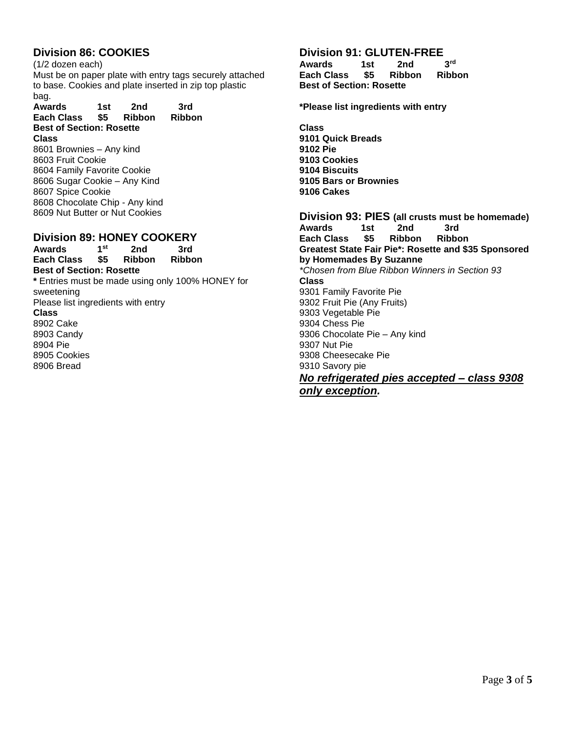## **Division 86: COOKIES**

(1/2 dozen each) Must be on paper plate with entry tags securely attached to base. Cookies and plate inserted in zip top plastic bag.

**Awards 1st 2nd 3rd Each Class \$5 Ribbon Ribbon Best of Section: Rosette Class** 

8601 Brownies – Any kind 8603 Fruit Cookie 8604 Family Favorite Cookie 8606 Sugar Cookie – Any Kind 8607 Spice Cookie 8608 Chocolate Chip - Any kind 8609 Nut Butter or Nut Cookies

## **Division 89: HONEY COOKERY**

Awards 1<sup>st</sup><br>Each Class \$5  **2nd 3rd Each Class \$5 Ribbon Ribbon Best of Section: Rosette \*** Entries must be made using only 100% HONEY for sweetening Please list ingredients with entry **Class**  8902 Cake 8903 Candy 8904 Pie 8905 Cookies 8906 Bread

## **Division 91: GLUTEN-FREE**<br>Awards 1st 2nd 3<sup>rd</sup>

**Awards 1st 2nd 3rd Each Class \$5 Ribbon Ribbon Best of Section: Rosette**

**\*Please list ingredients with entry**

**Class 9101 Quick Breads 9102 Pie 9103 Cookies 9104 Biscuits 9105 Bars or Brownies 9106 Cakes**

**Division 93: PIES (all crusts must be homemade) Awards 1st 2nd 3rd Each Class \$5 Ribbon Ribbon Greatest State Fair Pie\*: Rosette and \$35 Sponsored by Homemades By Suzanne** *\*Chosen from Blue Ribbon Winners in Section 93* **Class**  9301 Family Favorite Pie 9302 Fruit Pie (Any Fruits) 9303 Vegetable Pie 9304 Chess Pie 9306 Chocolate Pie – Any kind 9307 Nut Pie 9308 Cheesecake Pie 9310 Savory pie *No refrigerated pies accepted – class 9308 only exception.*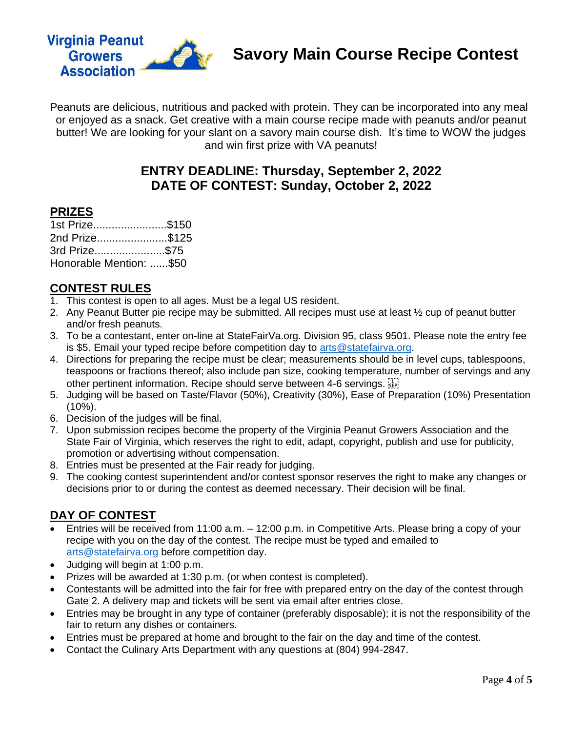

Peanuts are delicious, nutritious and packed with protein. They can be incorporated into any meal or enjoyed as a snack. Get creative with a main course recipe made with peanuts and/or peanut butter! We are looking for your slant on a savory main course dish. It's time to WOW the judges and win first prize with VA peanuts!

## **ENTRY DEADLINE: Thursday, September 2, 2022 DATE OF CONTEST: Sunday, October 2, 2022**

### **PRIZES**

| 1st Prize\$150          |  |
|-------------------------|--|
| 2nd Prize\$125          |  |
| 3rd Prize\$75           |  |
| Honorable Mention: \$50 |  |

## **CONTEST RULES**

- 1. This contest is open to all ages. Must be a legal US resident.
- 2. Any Peanut Butter pie recipe may be submitted. All recipes must use at least ½ cup of peanut butter and/or fresh peanuts.
- 3. To be a contestant, enter on-line at StateFairVa.org. Division 95, class 9501. Please note the entry fee is \$5. Email your typed recipe before competition day to [arts@statefairva.org.](mailto:arts@statefairva.org)
- 4. Directions for preparing the recipe must be clear; measurements should be in level cups, tablespoons, teaspoons or fractions thereof; also include pan size, cooking temperature, number of servings and any other pertinent information. Recipe should serve between 4-6 servings.
- 5. Judging will be based on Taste/Flavor (50%), Creativity (30%), Ease of Preparation (10%) Presentation (10%).
- 6. Decision of the judges will be final.
- 7. Upon submission recipes become the property of the Virginia Peanut Growers Association and the State Fair of Virginia, which reserves the right to edit, adapt, copyright, publish and use for publicity, promotion or advertising without compensation.
- 8. Entries must be presented at the Fair ready for judging.
- 9. The cooking contest superintendent and/or contest sponsor reserves the right to make any changes or decisions prior to or during the contest as deemed necessary. Their decision will be final.

## **DAY OF CONTEST**

- Entries will be received from 11:00 a.m. 12:00 p.m. in Competitive Arts. Please bring a copy of your recipe with you on the day of the contest. The recipe must be typed and emailed to [arts@statefairva.org](mailto:arts@statefairva.org) before competition day.
- Judging will begin at 1:00 p.m.
- Prizes will be awarded at 1:30 p.m. (or when contest is completed).
- Contestants will be admitted into the fair for free with prepared entry on the day of the contest through Gate 2. A delivery map and tickets will be sent via email after entries close.
- Entries may be brought in any type of container (preferably disposable); it is not the responsibility of the fair to return any dishes or containers.
- Entries must be prepared at home and brought to the fair on the day and time of the contest.
- Contact the Culinary Arts Department with any questions at (804) 994-2847.